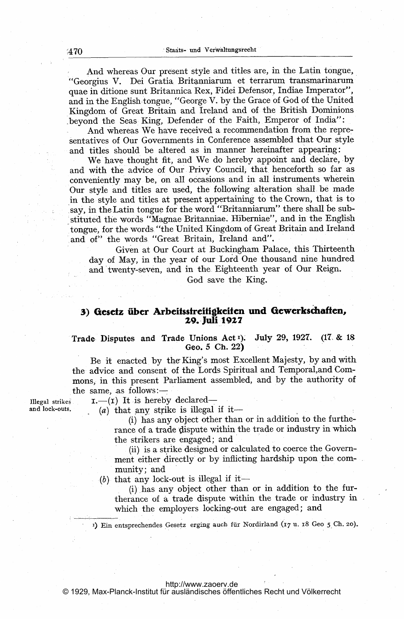And whereas Our present style and titles are, in the Latin tongue, "Georgius V. Dei Gratia Britanniarum et terrarum transmarinarum quae in ditione sunt Britannica Rex, Fidei Defensor, Indiae Imperator", and in the English tongue, "George V. by the Grace of God of the United Kingdom of Great Britain and Ireland and of the British Dominions beyond the Seas King, Defender of the Faith, Emperor of India":

And whereas We have received a recommendation from the representatives of Our Governments in Conference assembled that Our style and titles should be altered as in manner hereinafter appearing:

We have thought fit, and We do hereby appoint and declare, by and with the advice of Our Privy Council, that henceforth so far as conveniently may be, on all occasions and in all instruments wherein Our style and titles are used, the following alteration shall be made in the style and titles at present appertaining to the Crown, that is to say, in the Latin tongue for the word "Britanniarum" there shall be substituted the words "Magnae Britanniae. Hiberniae", and in the English tongue, for the words "the United Kingdom of Great Britain and Ireland and of" the words "Great Britain, Ireland and".

Given at Our Court at Buckingham Palace, this Thirteenth day of May, in the year of our Lord One thousand nine hundred and twenty-seven, and in the Eighteenth year of Our Reign.

God save the King.

## 3) Gesetz über Arbeitsstreitigkeiten und Gewerkschaften, 29. Juli 1927

### Trade Disputes and Trade Unions Act<sup>1</sup>). July 29, 1927. (17, & 18 Geo. 5 Ch. 22)

Be it enacted by the King's most Excellent Majesty, by and with the advice and consent of the Lords Spiritual and Temporal,and Commons, in this present Parliament assembled, and by the authority of the same, as follows: $-$ 

Illegal strikes  $I.-(I)$  It is hereby declared-<br>and lock-outs. (a) that any strike is illegal

(a) that any strike is illegal if it-

(i) has any object other than or in addition to the furtherance of a trade dispute within the trade or industry in which the strikers are engaged; and

(ii) is a strike designed or calculated to coerce the Government either directly or by inflicting hardship upon the community; and

(b) that any lock-out is illegal if it-

 $(i)$  has any object other than or in addition to the furtherance of a trade dispute within the trade or industry in which the employers locking-out are engaged; and

1) Ein entsprechendes Gesetz erging auch für Nordirland (17 u. 18 Geo 5 Ch. 20).

#### <http://www.zaoerv.de>

© 1929, Max-Planck-Institut für ausländisches öffentliches Recht und Völkerrecht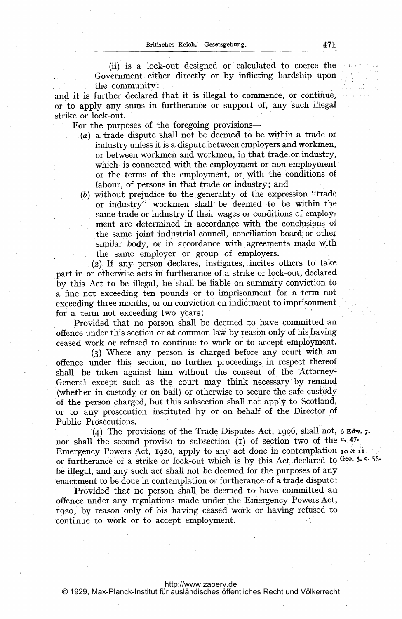(ii) is a lock-out designed or calculated to coerce the Government either directly or by inflicting hardship upon the community:

and it is further declared that it is illegal to commence, or continue, or to apply any sums in furtherance or support of, any such illegal strike or lock-out.

For the purposes of the foregoing provisions-

- (a) a. trade dispute shall not be deemed to be within a. trade or industry unless it is a dispute between employers and workmen, or between workmen and workmen, in that trade or industry, which is connected with the employment or non-employment or the terms of the employment, or with the conditions of labour, of persons in that trade or industry; and
- $(b)$  without prejudice to the generality of the expression "trade or industry" workmen shall be deemed to be within the same trade or industry if their wages or conditions of employment are determined in accordance with the conclusions of the same joint industrial council, conciliation board or other similar body, or in accordance with agreements made with the same employer or group of employers.

 $(2)$  If any person declares, instigates, incites others to take 'Part in or otherwise acts in furtherance of a strike or lock-out, declared by this Act to be illegal, he'shall be liable on summary conviction to a fine not exceeding ten pounds or to imprisonment for a term not exceeding three months, or on conviction on indictment to imprisonment for a term not exceeding two years:

Provided that no person shall be deemed to have committed an offence under this section or at common law by reason only of his having ceased work or refused to continue to work. or to accept employment.

(3) Where any person is charged before any court with an offence under this section, no further proceedings in respect thereof shall be taken against him without the consent of the 'Attorney-General except such as the court may think necessary by remand (whether in custody or on bail) or otherwise to secure the safe custody of the person charged, but this subsection shall not apply to Scotland, or to any, prosecution instituted by or on behalf of the Director of Public Prosecutions.

(4) The provisions of the Trade Disputes Act, 1906, shall not, 6 Edw. 7. nor shall the second proviso to subsection  $(1)$  of section two of the  $c$ . 47. Emergency Powers Act, 1920, apply to any act done in contemplation 10 & 11. or furtherance of a strike or lock-out which is by this Act declared to Geo. 5. c. 55. be illegal, and any such act shall not be deemed for the purposes of any enactment to be done in contemplation or furtherance of a trade dispute:

Provided that no person shall be deemed to have committed an offence under any regulations made under.the Emergency Powers Act, 1920, by reason only of his having ceased work or having refused to continue to work or to accept employment.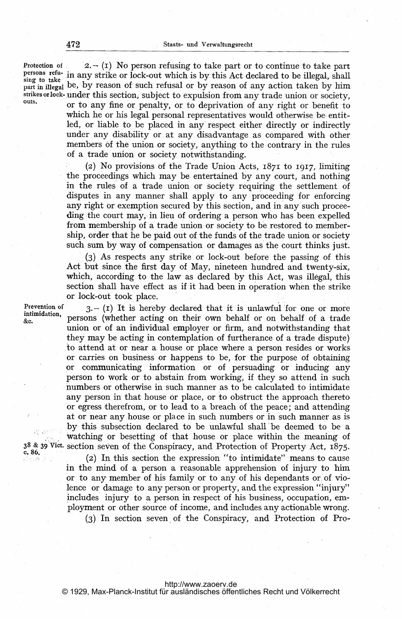Protection of

 $(2, -1)$  No person refusing to take part or to continue to take part persons refu- in any Strike or lock-out which is by this Act declared to be illegal, shall sing to take part in illegal be, by reason of such refusal or by reason of any action taken by him strikes or lock-under this section, subject to expulsion from any trade union or society, outs. or to any fine or penalty, or to deprivation of any right or benefit to which he or his legal personal representatives would otherwise be entitled, or liable to be placed in any respect either directly or indirectly under any disability or. at any disadvantage as compared with other members of the union or society, anything to the contrary in the rules of a trade union or society notwithstanding.

> (2) No provisions of the Trade Union Acts, <sup>1871</sup> to 1917, limiting the proceedings which may be entertained by any court, and nothing in the rules of a trade union or society requiring the settlement of disputes in any manner shall apply to any proceeding for enforcing any right or exemption secured by this section, and in any such proceeding the court may, in lieu of ordering a person who has been expelled from membership of a trade union or society to be restored to membership, order that he be paid out of the funds of the trade union or society such sum by, way of compensation or damages as the court thinks just.

> (3) As respects any strike or lock-out before the passing of this Act but since the first day of May, nineteen hundred and twenty-six, which, according to the law as declared by this Act, was illegal, this section shall have effect as if it had been in operation when the strike or lock-out took place.

 $3 - (1)$  It is hereby declared that it is unlawful for one or more multimidation, persons (whether acting on their own behalf or on behalf of a trade union or of an individual employer or firm, and notwithstanding that they'may be acting in contemplation of furtherance of a trade dispute) to attend at or near a house or place where <sup>a</sup> person resides or works or carries on business' or happens to be, for the purpose of obtaining or communicating information or of persuading or inducing any person to work or to abstain from working, if they so attend in such numbers or otherwise in such manner as to be calculated to intimidate any person in that house or place, or to obstruct the approach thereto or egress therefrom, or to lead to a breach of the peace; and attending at or near any house or place in such numbers or in such manner as is by this subsection declared to be unlawful shall be deemed to be a watching or besetting of that house or place within the meaning of <sup>38</sup> & <sup>39</sup> Vict. section, seven of the.Conspiracy, and Protection of Property Act, 1875.

> (2) In this section the expression "to intimidate" means to cause in the mind of a person <sup>a</sup> reasonable apprehension of injury to him or to any member of his family or to any of his dependants or. of violence or damage to any person or property, and the expression "injury" includes injury to a person in respect of his business, occupation, employment or other source of income, and includes any actionable wrong.

(3) In section seven, of the Conspiracy, and Protection of Pro-

c. 86.

Prevention of<br>intimidation.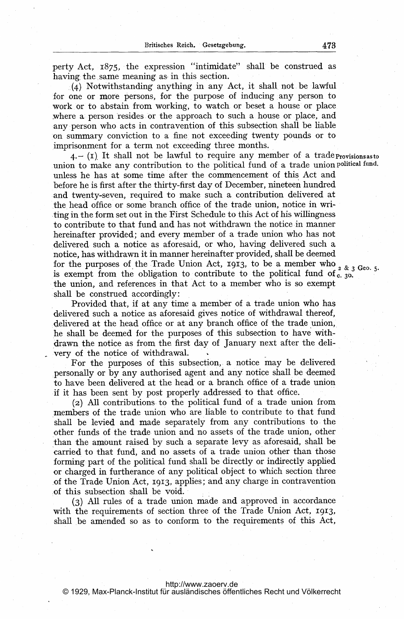perty Act, 1875, the expression "intimidate" shall' be construed as having the same meaning as in this section.

(4) Notwithstanding anything in any Act, it shall, not be lawful for one or more persons, for the purpose of inducing any person to work or to abstain from working, to watch or beset a house or place where a person resides or the approach to such a house or place, and any person who acts in contravention of this subsection shall be liable -on summary conviction to a fine not exceeding twenty pounds or to imprisonment for a term not exceeding three months.

 $4 - (1)$ . It shall not be lawful to require any member of a trade provisions as to union to make any contribution to the political fund of <sup>a</sup> trade union political fund. unless he has at some time after the commencement of this Act and before he is first after the thirty-first day of December, nineteen hundred and twenty-seven, required to make such a contribution delivered at the head office or some branch office of the trade union, notice in wri-Aing in the form set out in the First Schedule to this Act of his willingness to contribute to that fund and has not withdrawn the notice. in manner hereinafter provided; and every member of <sup>a</sup> trade union who has not delivered such a notice as aforesaid, or who, having delivered such a notice, has withdrawn it in manner hereinafter provided, shall be deemed for the purposes of the Trade Union Act, 1913, to be a member who  $_2$  & 3 Geo. 5. is exempt from the obligation to contribute to the political fund of  $\epsilon$ , 30. the union, and references in that Act to a member who is so exempt shall be construed accordingly:

Provided that, if at any time <sup>a</sup> member of <sup>a</sup> trade union who has delivered such a notice as aforesaid gives notice of withdrawal thereof, delivered at the head office or at any branch office of the trade union, he shall be deemed for the purposes of this subsection to have with drawn the notice as from the first day of January next after the delivery of the notice of withdrawal.

For the purposes of this subsection, a notice may be delivered personally or by any authorised agent and any notice shall be deemed to have been delivered at the head or a branch office of a trade union if it has been sent by post properly addressed to that office.

 $(2)$  All contributions to the political fund of a trade union from members of the trade union who are liable to contribute to that fund shall be levied and made separately from any contributions to the other funds of the trade union and no assets of the trade union, other -than the amount raised by such <sup>a</sup> separate levy as aforesaid, shall be carried to that fund, and no assets of a trade union other than those forming part of the political fund shall be directly or indirectly applied or charged in furtherance of any political object to which section three of the Trade Union Act, 1913, applies; and any charge in contravention of this subsection shall be void.

(3) All rules of a trade union made and approved in accordance with the requirements of section three of the Trade Union Act, 1913, shall be amended so as to conform to the requirements of this Act,

© 1929, Max-Planck-Institut für ausländisches öffentliches Recht und Völkerrecht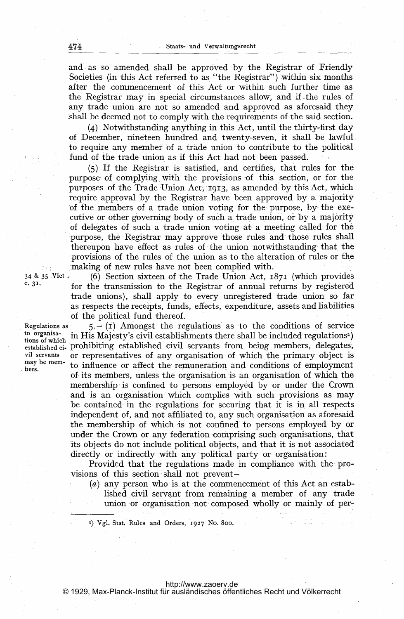and as so amended shall be approved by the Registrar of Friendly Societies (in this Act referred to as "the Registrar") within six months after the commencement of this Act or within such further time as the Registrar may in special circumstances allow, and if -the rules of any trade union are not so amended and approved as aforesaid they shall be deemed not to comply with the requirements of the said section.

(4) Notwithstanding anything in this Act, until the thirty-first day of December, nineteen hundred and twenty-seven, it shall be lawful to require any member of <sup>a</sup> trade union to contribute to the political fund of the trade union as if this Act had not been passed.

(5) If the Registrar is satisfied, and certifies, that rules for the purpose of complying with the provisions of this section, or for the purposes of the Trade Union Act, 1913, as amended by this Act, which require approval by the Registrar have been approved by a majority of the members of a trade union voting for the purpose, by the executive or other governing body of such a trade union, or by a majority of delegates of such a trade union voting at a meeting called for the purpose, the Registrar may approve those rules and those rules shall thereupon have effect as rules of the union notwithstanding that the provisions of the rules of the union as to the alteration of rules or the making of new rules have not been complied with.

 $34 \& 35$  Vict. (6) Section sixteen of the Trade Union Act,  $1871$  (which provides c. 31. for the transmission to the Registrar of annual returns by registered trade unions), shall apply to every unregistered trade union so far as respects the receipts, funds, effects, expenditure, assets and liabilities of the political fund thereof.

Regulations as  $5 - (1)$  Amongst the regulations as to the conditions of service<br>to organisa-<br>in His Majority's civil establishments there shall be included regulations? to organisa-<br>tions of which in His Majesty's civil establishments there shall be included regulations<sup>2</sup>) established ci- prohibiting established civil servants from being members, delegates, vil servants or representatives of any organisation of which the primary object is hay be mem- to influence or affect the remuneration and conditions of employment of its members, unless the organisation is an organisation of which the membership is confined to persons employed by or under the Crown and is an organisation which complies with such provisions as may be contained, in the regulations for securing that it is in all respects independent of, and not affiliated to, any such organisation as aforesaid the membership of which is not confined to persons employed by or under the Crown or any federation comprising such organisations, that its objects do not include political objects, and-that it is not associated directly or indirectly with any political party or organisation:

> Provided that the regulations made in compliance with the provisions of this section'shall not prevent-

(a) any person who is at the commencement of this Act an established civil servant from remaining <sup>a</sup> member of any trade union or organisation not composed wholly or mainly of per-

<sup>2</sup>) Vgl. Stat. Rules and Orders, 1927 No. 800.

#### <http://www.zaoerv.de>

© 1929, Max-Planck-Institut für ausländisches öffentliches Recht und Völkerrecht

may be mem-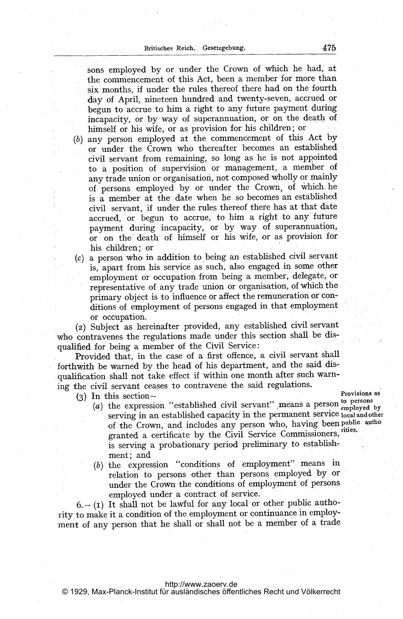sons employed by or under the Crown of which he had, at the commencement of this Act, been a member for more than six months, if under the rules thereof there had on the fourth day of April, nineteen hundred and twenty-seven, accrued or begun to accrue to him <sup>a</sup> right to any future payment during incapacity, or by way of superannuation, or on the death of himself or his wife, or as provision for his children; or

- (b) any person employed at the commencement of this Act by or under the Crown who thereafter becomes an established civil servant from remaining, so long as he is not appointed to <sup>a</sup> position of supervision or management, <sup>a</sup> member of any trade union or organisation, not composed wholly or mainly of persons, employed by or under the. Crown, of which he is a member at the date when he so becomes an established civil servant, if under the rules thereof there has at that date accrued, or begun to accrue, to him a right to any'future payment during incapacity, or by way of superannuation, or on the' death of himself or his wife, or as provision for his children; or
- $(c)$  a person who in addition to being an established civil servant is, apart from his service as such, also engaged in some other employment or occupation from being a member, delegate, or representative of any trade union or organisation, of which the primary object is to influence or affect the remuneration or conditions of employment of persons engaged in that employment or occupation.

(2) Subject as hereinafter provided, any established civil servant who contravenes the regulations made under this section shall be disqualified for being a member of the Civil Service:

Provided that, in the:case of a first offence, a civil servant shall forthwith be warned by the head of his department, and the said dis qualification shall not take effect if within one month after such warning the civil servant ceases to contravene the said regulations.

(3) In this section- Provisions as

- 
- (a) the expression "established civil servant" means a person to persons serving in an established capacity in the permanent service local and other of the Crown, and includes any person who, having been public autho granted a certificate by the Civil Service Commissioners, rities. is serving a probationary period preliminary to establishment; and
- (b) the expression "conditions of employment" means in relation to persons other than persons employed by or under the Crown the conditions of employment of persons employed under a contract of service.

 $6 - (1)$  It shall not be lawful for any local or other public authority to make it a condition of the employment or continuance in employment of any person that he shall or shall not be a member of <sup>a</sup> trade

#### <http://www.zaoerv.de>

© 1929, Max-Planck-Institut für ausländisches öffentliches Recht und Völkerrecht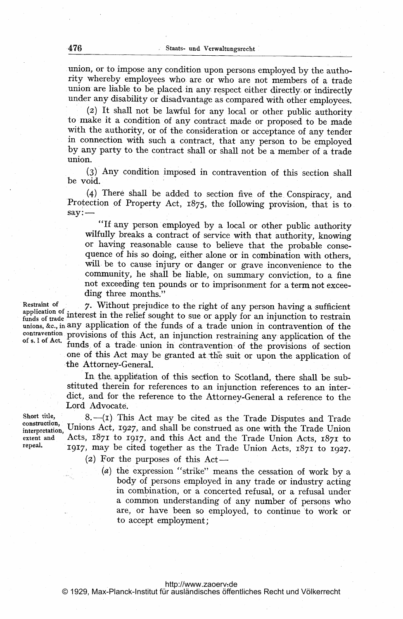union, or to impose any condition upon persons employed by the authority whereby employees who are or who are not members of <sup>a</sup> trade union are liable to be placed in any respect either directly or indirectly under any disability or disadvantage as compared with other employees.

(2) It shall not be lawful for any local or other public authority to make it a condition of any contract made or proposed to be made with the authority, or of the consideration or acceptance of any tender in connection with such <sup>a</sup> contract, that any person to be employed by anyparty to the contract shall or shall not be a member of a trade union.

(3) Any condition imposed in contravention of this section shall be void.

(4) There shall be added to section five of the. Conspiracy, and Protection of Property Act,  $1875$ , the following provision, that is to say:

"If any person employed by a local or other public authority wilfully breaks a contract of service with that authority, knowing or having reasonable cause to believe that the probable consequence of his so doing, either alone or in combination with others, will be to cause injury or danger or grave inconvenience to the community, he shall be liable, on summary conviction, to a fine not exceeding ten pounds or to imprisonment for a term not exceeding three months."

Restraint of 7. Without prejudice to the right of any person having a sufficient application of interest in the relief sought to sue or apply for an injunction to restrain unions, &c., in any application of the funds of a trade union in contravention of the contravention provisions of this Act, an injunction restraining any application of the of s. I of Act.  $f_{\text{max}}$  of  $f_{\text{max}}$  is a straining and set of the set of the set of the set of the set of the set of the set of the funds of a trade union in contravention of the provisions of section

one of this Act may be granted at the suit or upon the application of ,the Attorney-General.

In the application of this section to Scotland, there shall be substituted therein for references to an injunction references to an interdiet, and for the reference to the Attorney-General <sup>a</sup> reference to the Lord Advocate.

Short title,  $8.$  ---(1) This Act may be cited as the Trade Disputes and Trade construction, Unions Act, 1927, and shall be construed as one with the Trade Union CONSTRUCTION, Unions Act, 1927, and shall be construed as one with the Trade Union extent and Acts, 1871 to 1917, and this Act and the Trade Union Acts, 1871 to repeal. 1917, may be cited together as the Trade Union Acts,  $1871$  to 1927.

(2) For the purposes of this  $Act -$ 

(a) the expression "strike" means the cessation of work by a body of persons employed in any trade or industry acting in combination, or a concerted refusal, or a refusal under a common understanding of any number of persons who are, or have been so employed, to continue to work or to accept employment;

<http://www.zaoerv.de> © 1929, Max-Planck-Institut für ausländisches öffentliches Recht und Völkerrecht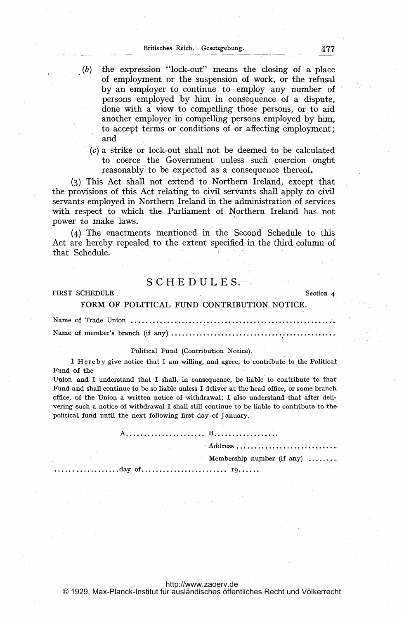#### Britisches Reich. Gesetzgebung. 477

- (b) the expression "lock-out" means the closing of a place of employment or the suspension of work, or the refusal by an employer to continue to employ any number of persons employed by him in consequence of a dispute, done with a view to compelling those persons, or to aid another employer in compelling persons employed by him, to accept terms or conditions of or affecting employment; and
	- (c) a strike or lock-out shall not be deemed to be calculated to coerce the Government unless such coercion ought reasonably to be expected as a consequence thereof.

(3) This Act shall not extend to Northern Ireland, except that the provisions of this Act relating to civil servants shall apply to civil servants employed in Northern Ireland in the administration of services with respect to which the Parliament of Northern Ireland has not power to make laws.

(4) The enactments mentioned in the Second Schedule to this Act are hereby repealed to the extent specified in the third column of that Schedule.

## S C H E D U L E S.

#### FIRST SCHEDULE Section 4

FORM OF POLITICAL FUND CONTRIBUTION NOTICE.

Name of Trade Union ... Name of member's branch (if any)

Political Fund (Contribution Notice).

<sup>I</sup> Hereby give notice that <sup>I</sup> am willing, and agree, to contribute to the Political Fund of the

Union and <sup>I</sup> understand that <sup>I</sup> shall, in consequence, be liable to contribute to that Fund and shall continue to be so liable unless <sup>I</sup> deliver at the head office, or some branch office, of the Union a written notice of withdrawal: <sup>I</sup> also understand that after delivering such a notice of withdrawal I shall still continue to be liable to contribute to thepolitical fund until the next following first day of January.

> A B Address ............................ Membership number (if any) day of 19